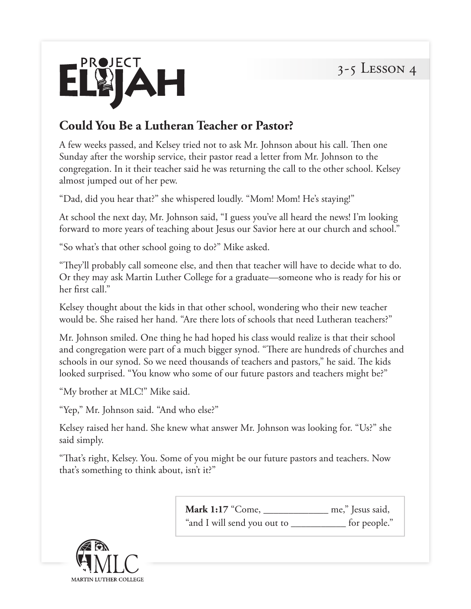

## **Could You Be a Lutheran Teacher or Pastor?**

A few weeks passed, and Kelsey tried not to ask Mr. Johnson about his call. Then one Sunday after the worship service, their pastor read a letter from Mr. Johnson to the congregation. In it their teacher said he was returning the call to the other school. Kelsey almost jumped out of her pew.

"Dad, did you hear that?" she whispered loudly. "Mom! Mom! He's staying!"

At school the next day, Mr. Johnson said, "I guess you've all heard the news! I'm looking forward to more years of teaching about Jesus our Savior here at our church and school."

"So what's that other school going to do?" Mike asked.

"They'll probably call someone else, and then that teacher will have to decide what to do. Or they may ask Martin Luther College for a graduate—someone who is ready for his or her first call."

Kelsey thought about the kids in that other school, wondering who their new teacher would be. She raised her hand. "Are there lots of schools that need Lutheran teachers?"

Mr. Johnson smiled. One thing he had hoped his class would realize is that their school and congregation were part of a much bigger synod. "There are hundreds of churches and schools in our synod. So we need thousands of teachers and pastors," he said. The kids looked surprised. "You know who some of our future pastors and teachers might be?"

"My brother at MLC!" Mike said.

"Yep," Mr. Johnson said. "And who else?"

Kelsey raised her hand. She knew what answer Mr. Johnson was looking for. "Us?" she said simply.

"That's right, Kelsey. You. Some of you might be our future pastors and teachers. Now that's something to think about, isn't it?"

| Mark 1:17 "Come, $\overline{\phantom{a}}$ | me," Jesus said, |
|-------------------------------------------|------------------|
| "and I will send you out to               | for people."     |